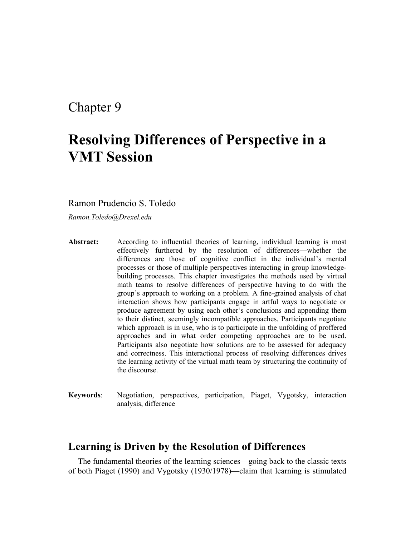## Chapter 9

# **Resolving Differences of Perspective in a VMT Session**

#### Ramon Prudencio S. Toledo

*Ramon.Toledo@Drexel.edu*

- **Abstract:** According to influential theories of learning, individual learning is most effectively furthered by the resolution of differences—whether the differences are those of cognitive conflict in the individual's mental processes or those of multiple perspectives interacting in group knowledgebuilding processes. This chapter investigates the methods used by virtual math teams to resolve differences of perspective having to do with the group's approach to working on a problem. A fine-grained analysis of chat interaction shows how participants engage in artful ways to negotiate or produce agreement by using each other's conclusions and appending them to their distinct, seemingly incompatible approaches. Participants negotiate which approach is in use, who is to participate in the unfolding of proffered approaches and in what order competing approaches are to be used. Participants also negotiate how solutions are to be assessed for adequacy and correctness. This interactional process of resolving differences drives the learning activity of the virtual math team by structuring the continuity of the discourse.
- **Keywords**: Negotiation, perspectives, participation, Piaget, Vygotsky, interaction analysis, difference

#### **Learning is Driven by the Resolution of Differences**

The fundamental theories of the learning sciences—going back to the classic texts of both Piaget (1990) and Vygotsky (1930/1978)—claim that learning is stimulated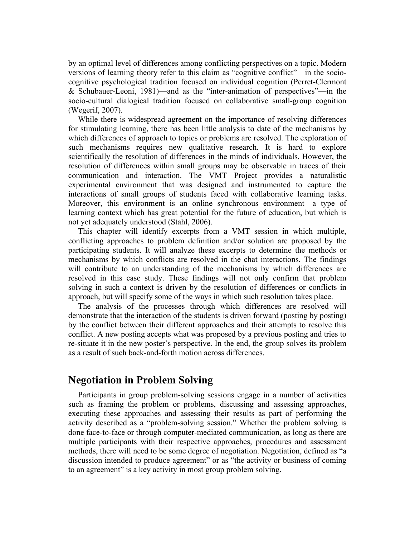by an optimal level of differences among conflicting perspectives on a topic. Modern versions of learning theory refer to this claim as "cognitive conflict"—in the sociocognitive psychological tradition focused on individual cognition (Perret-Clermont & Schubauer-Leoni, 1981)—and as the "inter-animation of perspectives"—in the socio-cultural dialogical tradition focused on collaborative small-group cognition (Wegerif, 2007).

While there is widespread agreement on the importance of resolving differences for stimulating learning, there has been little analysis to date of the mechanisms by which differences of approach to topics or problems are resolved. The exploration of such mechanisms requires new qualitative research. It is hard to explore scientifically the resolution of differences in the minds of individuals. However, the resolution of differences within small groups may be observable in traces of their communication and interaction. The VMT Project provides a naturalistic experimental environment that was designed and instrumented to capture the interactions of small groups of students faced with collaborative learning tasks. Moreover, this environment is an online synchronous environment—a type of learning context which has great potential for the future of education, but which is not yet adequately understood (Stahl, 2006).

This chapter will identify excerpts from a VMT session in which multiple, conflicting approaches to problem definition and/or solution are proposed by the participating students. It will analyze these excerpts to determine the methods or mechanisms by which conflicts are resolved in the chat interactions. The findings will contribute to an understanding of the mechanisms by which differences are resolved in this case study. These findings will not only confirm that problem solving in such a context is driven by the resolution of differences or conflicts in approach, but will specify some of the ways in which such resolution takes place.

The analysis of the processes through which differences are resolved will demonstrate that the interaction of the students is driven forward (posting by posting) by the conflict between their different approaches and their attempts to resolve this conflict. A new posting accepts what was proposed by a previous posting and tries to re-situate it in the new poster's perspective. In the end, the group solves its problem as a result of such back-and-forth motion across differences.

### **Negotiation in Problem Solving**

Participants in group problem-solving sessions engage in a number of activities such as framing the problem or problems, discussing and assessing approaches, executing these approaches and assessing their results as part of performing the activity described as a "problem-solving session." Whether the problem solving is done face-to-face or through computer-mediated communication, as long as there are multiple participants with their respective approaches, procedures and assessment methods, there will need to be some degree of negotiation. Negotiation, defined as "a discussion intended to produce agreement" or as "the activity or business of coming to an agreement" is a key activity in most group problem solving.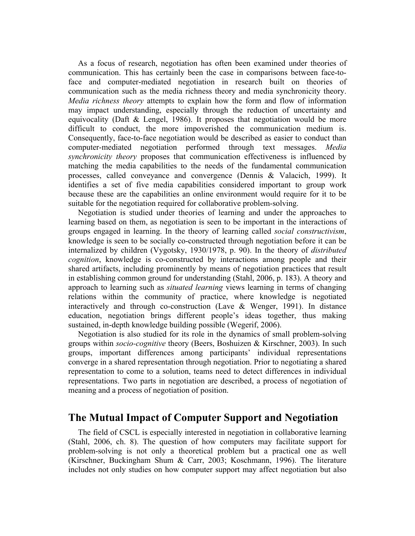As a focus of research, negotiation has often been examined under theories of communication. This has certainly been the case in comparisons between face-toface and computer-mediated negotiation in research built on theories of communication such as the media richness theory and media synchronicity theory. *Media richness theory* attempts to explain how the form and flow of information may impact understanding, especially through the reduction of uncertainty and equivocality (Daft & Lengel, 1986). It proposes that negotiation would be more difficult to conduct, the more impoverished the communication medium is. Consequently, face-to-face negotiation would be described as easier to conduct than computer-mediated negotiation performed through text messages. *Media synchronicity theory* proposes that communication effectiveness is influenced by matching the media capabilities to the needs of the fundamental communication processes, called conveyance and convergence (Dennis & Valacich, 1999). It identifies a set of five media capabilities considered important to group work because these are the capabilities an online environment would require for it to be suitable for the negotiation required for collaborative problem-solving.

Negotiation is studied under theories of learning and under the approaches to learning based on them, as negotiation is seen to be important in the interactions of groups engaged in learning. In the theory of learning called *social constructivism*, knowledge is seen to be socially co-constructed through negotiation before it can be internalized by children (Vygotsky, 1930/1978, p. 90). In the theory of *distributed cognition*, knowledge is co-constructed by interactions among people and their shared artifacts, including prominently by means of negotiation practices that result in establishing common ground for understanding (Stahl, 2006, p. 183). A theory and approach to learning such as *situated learning* views learning in terms of changing relations within the community of practice, where knowledge is negotiated interactively and through co-construction (Lave & Wenger, 1991). In distance education, negotiation brings different people's ideas together, thus making sustained, in-depth knowledge building possible (Wegerif, 2006).

Negotiation is also studied for its role in the dynamics of small problem-solving groups within *socio-cognitive* theory (Beers, Boshuizen & Kirschner, 2003). In such groups, important differences among participants' individual representations converge in a shared representation through negotiation. Prior to negotiating a shared representation to come to a solution, teams need to detect differences in individual representations. Two parts in negotiation are described, a process of negotiation of meaning and a process of negotiation of position.

### **The Mutual Impact of Computer Support and Negotiation**

The field of CSCL is especially interested in negotiation in collaborative learning (Stahl, 2006, ch. 8). The question of how computers may facilitate support for problem-solving is not only a theoretical problem but a practical one as well (Kirschner, Buckingham Shum & Carr, 2003; Koschmann, 1996). The literature includes not only studies on how computer support may affect negotiation but also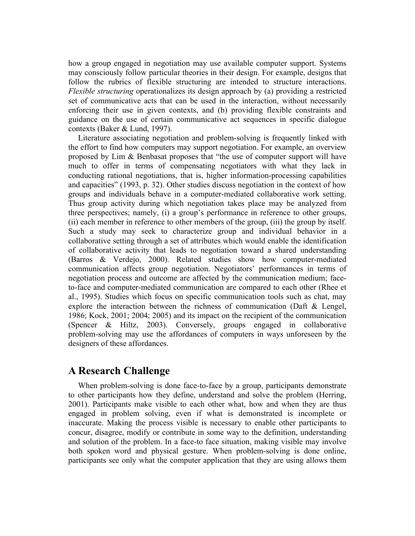how a group engaged in negotiation may use available computer support. Systems may consciously follow particular theories in their design. For example, designs that follow the rubrics of flexible structuring are intended to structure interactions. *Flexible structuring* operationalizes its design approach by (a) providing a restricted set of communicative acts that can be used in the interaction, without necessarily enforcing their use in given contexts, and (b) providing flexible constraints and guidance on the use of certain communicative act sequences in specific dialogue contexts (Baker & Lund, 1997).

Literature associating negotiation and problem-solving is frequently linked with the effort to find how computers may support negotiation. For example, an overview proposed by Lim & Benbasat proposes that "the use of computer support will have much to offer in terms of compensating negotiators with what they lack in conducting rational negotiations, that is, higher information-processing capabilities and capacities" (1993, p. 32). Other studies discuss negotiation in the context of how groups and individuals behave in a computer-mediated collaborative work setting. Thus group activity during which negotiation takes place may be analyzed from three perspectives; namely, (i) a group's performance in reference to other groups, (ii) each member in reference to other members of the group, (iii) the group by itself. Such a study may seek to characterize group and individual behavior in a collaborative setting through a set of attributes which would enable the identification of collaborative activity that leads to negotiation toward a shared understanding (Barros & Verdejo, 2000). Related studies show how computer-mediated communication affects group negotiation. Negotiators' performances in terms of negotiation process and outcome are affected by the communication medium; faceto-face and computer-mediated communication are compared to each other (Rhee et al., 1995). Studies which focus on specific communication tools such as chat, may explore the interaction between the richness of communication (Daft & Lengel, 1986; Kock, 2001; 2004; 2005) and its impact on the recipient of the communication (Spencer & Hiltz, 2003). Conversely, groups engaged in collaborative problem-solving may use the affordances of computers in ways unforeseen by the designers of these affordances.

### **A Research Challenge**

When problem-solving is done face-to-face by a group, participants demonstrate to other participants how they define, understand and solve the problem (Herring, 2001). Participants make visible to each other what, how and when they are thus engaged in problem solving, even if what is demonstrated is incomplete or inaccurate. Making the process visible is necessary to enable other participants to concur, disagree, modify or contribute in some way to the definition, understanding and solution of the problem. In a face-to face situation, making visible may involve both spoken word and physical gesture. When problem-solving is done online, participants see only what the computer application that they are using allows them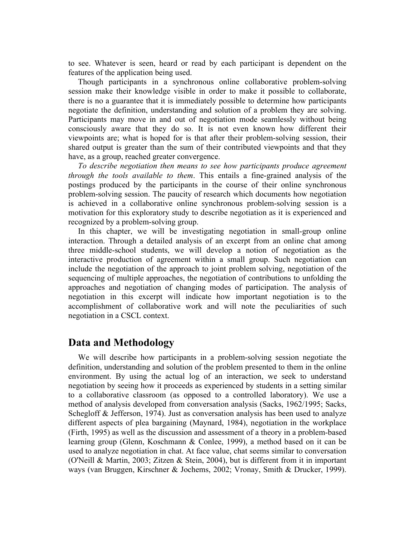to see. Whatever is seen, heard or read by each participant is dependent on the features of the application being used.

Though participants in a synchronous online collaborative problem-solving session make their knowledge visible in order to make it possible to collaborate, there is no a guarantee that it is immediately possible to determine how participants negotiate the definition, understanding and solution of a problem they are solving. Participants may move in and out of negotiation mode seamlessly without being consciously aware that they do so. It is not even known how different their viewpoints are; what is hoped for is that after their problem-solving session, their shared output is greater than the sum of their contributed viewpoints and that they have, as a group, reached greater convergence.

*To describe negotiation then means to see how participants produce agreement through the tools available to them*. This entails a fine-grained analysis of the postings produced by the participants in the course of their online synchronous problem-solving session. The paucity of research which documents how negotiation is achieved in a collaborative online synchronous problem-solving session is a motivation for this exploratory study to describe negotiation as it is experienced and recognized by a problem-solving group.

In this chapter, we will be investigating negotiation in small-group online interaction. Through a detailed analysis of an excerpt from an online chat among three middle-school students, we will develop a notion of negotiation as the interactive production of agreement within a small group. Such negotiation can include the negotiation of the approach to joint problem solving, negotiation of the sequencing of multiple approaches, the negotiation of contributions to unfolding the approaches and negotiation of changing modes of participation. The analysis of negotiation in this excerpt will indicate how important negotiation is to the accomplishment of collaborative work and will note the peculiarities of such negotiation in a CSCL context.

#### **Data and Methodology**

We will describe how participants in a problem-solving session negotiate the definition, understanding and solution of the problem presented to them in the online environment. By using the actual log of an interaction, we seek to understand negotiation by seeing how it proceeds as experienced by students in a setting similar to a collaborative classroom (as opposed to a controlled laboratory). We use a method of analysis developed from conversation analysis (Sacks, 1962/1995; Sacks, Schegloff & Jefferson, 1974). Just as conversation analysis has been used to analyze different aspects of plea bargaining (Maynard, 1984), negotiation in the workplace (Firth, 1995) as well as the discussion and assessment of a theory in a problem-based learning group (Glenn, Koschmann & Conlee, 1999), a method based on it can be used to analyze negotiation in chat. At face value, chat seems similar to conversation (O'Neill & Martin, 2003; Zitzen & Stein, 2004), but is different from it in important ways (van Bruggen, Kirschner & Jochems, 2002; Vronay, Smith & Drucker, 1999).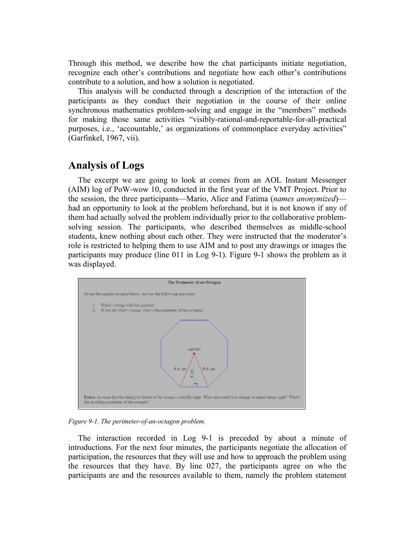Through this method, we describe how the chat participants initiate negotiation, recognize each other's contributions and negotiate how each other's contributions contribute to a solution, and how a solution is negotiated.

This analysis will be conducted through a description of the interaction of the participants as they conduct their negotiation in the course of their online synchronous mathematics problem-solving and engage in the "members" methods for making those same activities "visibly-rational-and-reportable-for-all-practical purposes, i.e., 'accountable,' as organizations of commonplace everyday activities" (Garfinkel, 1967, vii).

### **Analysis of Logs**

The excerpt we are going to look at comes from an AOL Instant Messenger (AIM) log of PoW-wow 10, conducted in the first year of the VMT Project. Prior to the session, the three participants—Mario, Alice and Fatima (*names anonymized*) had an opportunity to look at the problem beforehand, but it is not known if any of them had actually solved the problem individually prior to the collaborative problemsolving session. The participants, who described themselves as middle-school students, knew nothing about each other. They were instructed that the moderator's role is restricted to helping them to use AIM and to post any drawings or images the participants may produce (line 011 in Log 9-1). Figure 9-1 shows the problem as it was displayed.



*Figure 9-1. The perimeter-of-an-octagon problem.* 

The interaction recorded in Log 9-1 is preceded by about a minute of introductions. For the next four minutes, the participants negotiate the allocation of participation, the resources that they will use and how to approach the problem using the resources that they have. By line 027, the participants agree on who the participants are and the resources available to them, namely the problem statement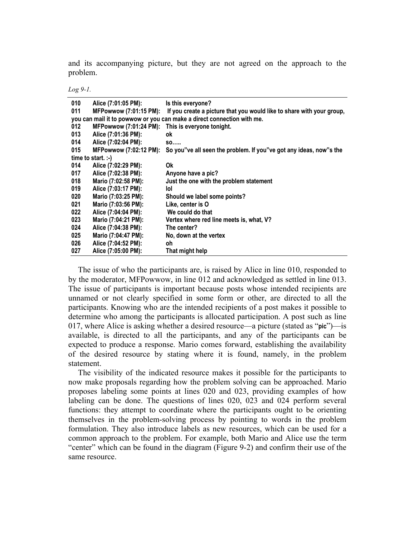and its accompanying picture, but they are not agreed on the approach to the problem.

| 010<br>Alice (7:01:05 PM):    | Is this everyone?                                                                            |
|-------------------------------|----------------------------------------------------------------------------------------------|
| 011                           | MFPowwow (7:01:15 PM): If you create a picture that you would like to share with your group, |
|                               | you can mail it to powwow or you can make a direct connection with me.                       |
| MFPowwow (7:01:24 PM):<br>012 | This is everyone tonight.                                                                    |
| 013<br>Alice (7:01:36 PM):    | ok                                                                                           |
| Alice (7:02:04 PM):<br>014    | $SO$                                                                                         |
| 015                           | MFPowwow (7:02:12 PM): So you"ve all seen the problem. If you"ve got any ideas, now"s the    |
| time to start. $:-)$          |                                                                                              |
| 014<br>Alice (7:02:29 PM):    | 0k                                                                                           |
| Alice (7:02:38 PM):<br>017    | Anyone have a pic?                                                                           |
| Mario (7:02:58 PM):<br>018    | Just the one with the problem statement                                                      |
| 019<br>Alice (7:03:17 PM):    | lol                                                                                          |
| 020<br>Mario (7:03:25 PM):    | Should we label some points?                                                                 |
| Mario (7:03:56 PM):<br>021    | Like, center is O                                                                            |
| Alice (7:04:04 PM):<br>022    | We could do that                                                                             |
| Mario (7:04:21 PM):<br>023    | Vertex where red line meets is, what, V?                                                     |
| Alice (7:04:38 PM):<br>024    | The center?                                                                                  |
| Mario (7:04:47 PM):<br>025    | No, down at the vertex                                                                       |
| Alice (7:04:52 PM):<br>026    | oh                                                                                           |
| 027<br>Alice (7:05:00 PM):    | That might help                                                                              |

The issue of who the participants are, is raised by Alice in line 010, responded to by the moderator, MFPowwow, in line 012 and acknowledged as settled in line 013. The issue of participants is important because posts whose intended recipients are unnamed or not clearly specified in some form or other, are directed to all the participants. Knowing who are the intended recipients of a post makes it possible to determine who among the participants is allocated participation. A post such as line 017, where Alice is asking whether a desired resource—a picture (stated as "**pic**")—is available, is directed to all the participants, and any of the participants can be expected to produce a response. Mario comes forward, establishing the availability of the desired resource by stating where it is found, namely, in the problem statement.

The visibility of the indicated resource makes it possible for the participants to now make proposals regarding how the problem solving can be approached. Mario proposes labeling some points at lines 020 and 023, providing examples of how labeling can be done. The questions of lines 020, 023 and 024 perform several functions: they attempt to coordinate where the participants ought to be orienting themselves in the problem-solving process by pointing to words in the problem formulation. They also introduce labels as new resources, which can be used for a common approach to the problem. For example, both Mario and Alice use the term "center" which can be found in the diagram (Figure 9-2) and confirm their use of the same resource.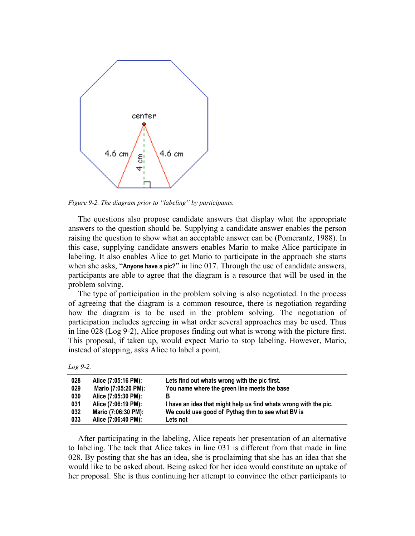

*Figure 9-2. The diagram prior to "labeling" by participants.*

*Log 9-2.*

The questions also propose candidate answers that display what the appropriate answers to the question should be. Supplying a candidate answer enables the person raising the question to show what an acceptable answer can be (Pomerantz, 1988). In this case, supplying candidate answers enables Mario to make Alice participate in labeling. It also enables Alice to get Mario to participate in the approach she starts when she asks, "**Anyone have a pic?**" in line 017. Through the use of candidate answers, participants are able to agree that the diagram is a resource that will be used in the problem solving.

The type of participation in the problem solving is also negotiated. In the process of agreeing that the diagram is a common resource, there is negotiation regarding how the diagram is to be used in the problem solving. The negotiation of participation includes agreeing in what order several approaches may be used. Thus in line 028 (Log 9-2), Alice proposes finding out what is wrong with the picture first. This proposal, if taken up, would expect Mario to stop labeling. However, Mario, instead of stopping, asks Alice to label a point.

| 028 | Alice (7:05:16 PM): | Lets find out whats wrong with the pic first.                    |
|-----|---------------------|------------------------------------------------------------------|
| 029 | Mario (7:05:20 PM): | You name where the green line meets the base                     |
| 030 | Alice (7:05:30 PM): | В                                                                |
| 031 | Alice (7:06:19 PM): | I have an idea that might help us find whats wrong with the pic. |
| 032 | Mario (7:06:30 PM): | We could use good of Pythag thm to see what BV is                |
| 033 | Alice (7:06:40 PM): | Lets not                                                         |

After participating in the labeling, Alice repeats her presentation of an alternative to labeling. The tack that Alice takes in line 031 is different from that made in line 028. By posting that she has an idea, she is proclaiming that she has an idea that she would like to be asked about. Being asked for her idea would constitute an uptake of her proposal. She is thus continuing her attempt to convince the other participants to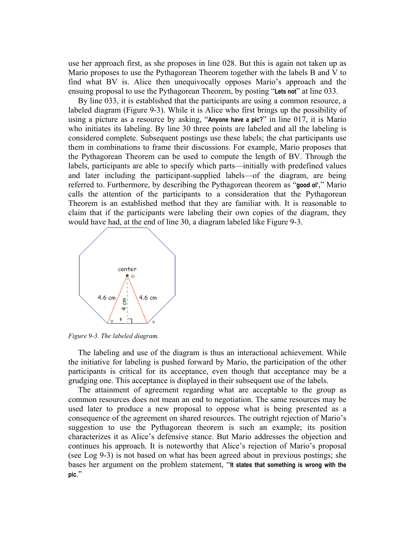use her approach first, as she proposes in line 028. But this is again not taken up as Mario proposes to use the Pythagorean Theorem together with the labels B and V to find what BV is. Alice then unequivocally opposes Mario's approach and the ensuing proposal to use the Pythagorean Theorem, by posting "**Lets not**" at line 033.

By line 033, it is established that the participants are using a common resource, a labeled diagram (Figure 9-3). While it is Alice who first brings up the possibility of using a picture as a resource by asking, "**Anyone have a pic?**" in line 017, it is Mario who initiates its labeling. By line 30 three points are labeled and all the labeling is considered complete. Subsequent postings use these labels; the chat participants use them in combinations to frame their discussions. For example, Mario proposes that the Pythagorean Theorem can be used to compute the length of BV. Through the labels, participants are able to specify which parts—initially with predefined values and later including the participant-supplied labels—of the diagram, are being referred to. Furthermore, by describing the Pythagorean theorem as "**good ol'**," Mario calls the attention of the participants to a consideration that the Pythagorean Theorem is an established method that they are familiar with. It is reasonable to claim that if the participants were labeling their own copies of the diagram, they would have had, at the end of line 30, a diagram labeled like Figure 9-3.



*Figure 9-3. The labeled diagram.*

The labeling and use of the diagram is thus an interactional achievement. While the initiative for labeling is pushed forward by Mario, the participation of the other participants is critical for its acceptance, even though that acceptance may be a grudging one. This acceptance is displayed in their subsequent use of the labels.

The attainment of agreement regarding what are acceptable to the group as common resources does not mean an end to negotiation. The same resources may be used later to produce a new proposal to oppose what is being presented as a consequence of the agreement on shared resources. The outright rejection of Mario's suggestion to use the Pythagorean theorem is such an example; its position characterizes it as Alice's defensive stance. But Mario addresses the objection and continues his approach. It is noteworthy that Alice's rejection of Mario's proposal (see Log 9-3) is not based on what has been agreed about in previous postings; she bases her argument on the problem statement, "**It states that something is wrong with the pic**."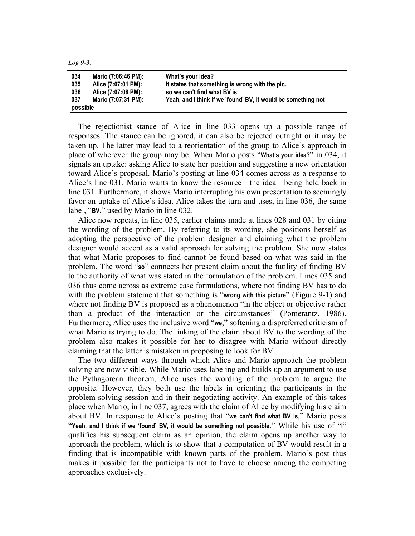*Log 9-3.*

| 034      | Mario (7:06:46 PM): | What's your idea?                                             |
|----------|---------------------|---------------------------------------------------------------|
| 035      | Alice (7:07:01 PM): | It states that something is wrong with the pic.               |
| 036      | Alice (7:07:08 PM): | so we can't find what BV is                                   |
| 037      | Mario (7:07:31 PM): | Yeah, and I think if we 'found' BV, it would be something not |
| possible |                     |                                                               |

The rejectionist stance of Alice in line 033 opens up a possible range of responses. The stance can be ignored, it can also be rejected outright or it may be taken up. The latter may lead to a reorientation of the group to Alice's approach in place of wherever the group may be. When Mario posts "**What's your idea?**" in 034, it signals an uptake: asking Alice to state her position and suggesting a new orientation toward Alice's proposal. Mario's posting at line 034 comes across as a response to Alice's line 031. Mario wants to know the resource—the idea—being held back in line 031. Furthermore, it shows Mario interrupting his own presentation to seemingly favor an uptake of Alice's idea. Alice takes the turn and uses, in line 036, the same label, "**BV**," used by Mario in line 032.

Alice now repeats, in line 035, earlier claims made at lines 028 and 031 by citing the wording of the problem. By referring to its wording, she positions herself as adopting the perspective of the problem designer and claiming what the problem designer would accept as a valid approach for solving the problem. She now states that what Mario proposes to find cannot be found based on what was said in the problem. The word "**so**" connects her present claim about the futility of finding BV to the authority of what was stated in the formulation of the problem. Lines 035 and 036 thus come across as extreme case formulations, where not finding BV has to do with the problem statement that something is "wrong with this picture" (Figure 9-1) and where not finding BV is proposed as a phenomenon "in the object or objective rather than a product of the interaction or the circumstances" (Pomerantz, 1986). Furthermore, Alice uses the inclusive word "**we**," softening a dispreferred criticism of what Mario is trying to do. The linking of the claim about BV to the wording of the problem also makes it possible for her to disagree with Mario without directly claiming that the latter is mistaken in proposing to look for BV.

The two different ways through which Alice and Mario approach the problem solving are now visible. While Mario uses labeling and builds up an argument to use the Pythagorean theorem, Alice uses the wording of the problem to argue the opposite. However, they both use the labels in orienting the participants in the problem-solving session and in their negotiating activity. An example of this takes place when Mario, in line 037, agrees with the claim of Alice by modifying his claim about BV. In response to Alice's posting that "**we can't find what BV is**," Mario posts "**Yeah, and I think if we 'found' BV, it would be something not possible**." While his use of "**I**" qualifies his subsequent claim as an opinion, the claim opens up another way to approach the problem, which is to show that a computation of BV would result in a finding that is incompatible with known parts of the problem. Mario's post thus makes it possible for the participants not to have to choose among the competing approaches exclusively.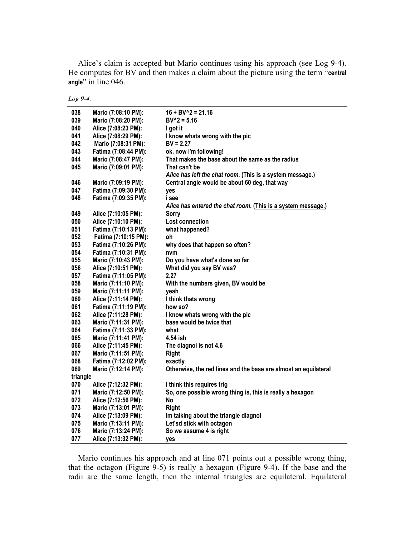Alice's claim is accepted but Mario continues using his approach (see Log 9-4). He computes for BV and then makes a claim about the picture using the term "**central angle**" in line 046.

*Log 9-4.*

| 038      | Mario (7:08:10 PM):  | $16 + BV - 2 = 21.16$                                           |
|----------|----------------------|-----------------------------------------------------------------|
| 039      | Mario (7:08:20 PM):  | $BV^2 = 5.16$                                                   |
| 040      | Alice (7:08:23 PM):  | I got it                                                        |
| 041      | Alice (7:08:29 PM):  | I know whats wrong with the pic                                 |
| 042      | Mario (7:08:31 PM):  | $BV = 2.27$                                                     |
| 043      | Fatima (7:08:44 PM): | ok. now i'm following!                                          |
| 044      | Mario (7:08:47 PM):  | That makes the base about the same as the radius                |
| 045      | Mario (7:09:01 PM):  | That can't be                                                   |
|          |                      | Alice has left the chat room. (This is a system message.)       |
| 046      | Mario (7:09:19 PM):  | Central angle would be about 60 deg, that way                   |
| 047      | Fatima (7:09:30 PM): | yes                                                             |
| 048      | Fatima (7:09:35 PM): | i see                                                           |
|          |                      | Alice has entered the chat room. (This is a system message.)    |
| 049      | Alice (7:10:05 PM):  | Sorry                                                           |
| 050      | Alice (7:10:10 PM):  | <b>Lost connection</b>                                          |
| 051      | Fatima (7:10:13 PM): | what happened?                                                  |
| 052      | Fatima (7:10:15 PM): | oh                                                              |
| 053      | Fatima (7:10:26 PM): | why does that happen so often?                                  |
| 054      | Fatima (7:10:31 PM): | nvm                                                             |
| 055      | Mario (7:10:43 PM):  | Do you have what's done so far                                  |
| 056      | Alice (7:10:51 PM):  | What did you say BV was?                                        |
| 057      | Fatima (7:11:05 PM): | 2.27                                                            |
| 058      | Mario (7:11:10 PM):  | With the numbers given, BV would be                             |
| 059      | Mario (7:11:11 PM):  | veah                                                            |
| 060      | Alice (7:11:14 PM):  | I think thats wrong                                             |
| 061      | Fatima (7:11:19 PM): | how so?                                                         |
| 062      | Alice (7:11:28 PM):  | I know whats wrong with the pic                                 |
| 063      | Mario (7:11:31 PM):  | base would be twice that                                        |
| 064      | Fatima (7:11:33 PM): | what                                                            |
| 065      | Mario (7:11:41 PM):  | 4.54 ish                                                        |
| 066      | Alice (7:11:45 PM):  | The diagnol is not 4.6                                          |
| 067      | Mario (7:11:51 PM):  | <b>Right</b>                                                    |
| 068      | Fatima (7:12:02 PM): | exactly                                                         |
| 069      | Mario (7:12:14 PM):  | Otherwise, the red lines and the base are almost an equilateral |
| triangle |                      |                                                                 |
| 070      | Alice (7:12:32 PM):  | I think this requires trig                                      |
| 071      | Mario (7:12:50 PM):  | So, one possible wrong thing is, this is really a hexagon       |
| 072      | Alice (7:12:56 PM):  | No                                                              |
| 073      | Mario (7:13:01 PM):  | <b>Right</b>                                                    |
| 074      | Alice (7:13:09 PM):  | Im talking about the triangle diagnol                           |
| 075      | Mario (7:13:11 PM):  | Let'sd stick with octagon                                       |
| 076      | Mario (7:13:24 PM):  | So we assume 4 is right                                         |
| 077      | Alice (7:13:32 PM):  | yes                                                             |

Mario continues his approach and at line 071 points out a possible wrong thing, that the octagon (Figure 9-5) is really a hexagon (Figure 9-4). If the base and the radii are the same length, then the internal triangles are equilateral. Equilateral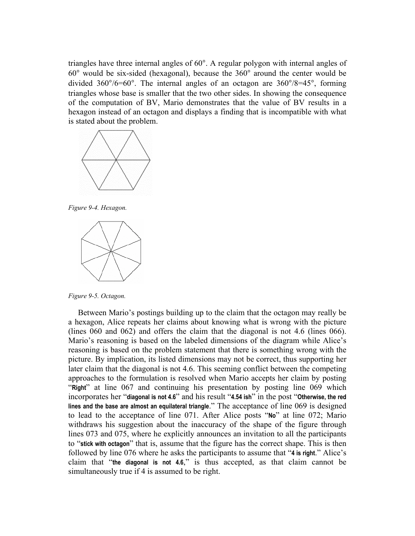triangles have three internal angles of 60°. A regular polygon with internal angles of 60° would be six-sided (hexagonal), because the 360° around the center would be divided 360°/6=60°. The internal angles of an octagon are 360°/8=45°, forming triangles whose base is smaller that the two other sides. In showing the consequence of the computation of BV, Mario demonstrates that the value of BV results in a hexagon instead of an octagon and displays a finding that is incompatible with what is stated about the problem.



*Figure 9-4. Hexagon.*



*Figure 9-5. Octagon.*

Between Mario's postings building up to the claim that the octagon may really be a hexagon, Alice repeats her claims about knowing what is wrong with the picture (lines 060 and 062) and offers the claim that the diagonal is not 4.6 (lines 066). Mario's reasoning is based on the labeled dimensions of the diagram while Alice's reasoning is based on the problem statement that there is something wrong with the picture. By implication, its listed dimensions may not be correct, thus supporting her later claim that the diagonal is not 4.6. This seeming conflict between the competing approaches to the formulation is resolved when Mario accepts her claim by posting "**Right**" at line 067 and continuing his presentation by posting line 069 which incorporates her "**diagonal is not 4.6**" and his result "**4.54 ish**" in the post "**Otherwise, the red lines and the base are almost an equilateral triangle**." The acceptance of line 069 is designed to lead to the acceptance of line 071. After Alice posts "**No**" at line 072; Mario withdraws his suggestion about the inaccuracy of the shape of the figure through lines 073 and 075, where he explicitly announces an invitation to all the participants to "**stick with octagon**" that is, assume that the figure has the correct shape. This is then followed by line 076 where he asks the participants to assume that "**4 is right**." Alice's claim that "**the diagonal is not 4.6**," is thus accepted, as that claim cannot be simultaneously true if 4 is assumed to be right.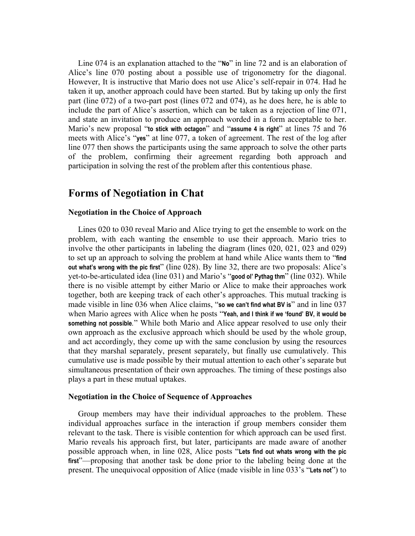Line 074 is an explanation attached to the "**No**" in line 72 and is an elaboration of Alice's line 070 posting about a possible use of trigonometry for the diagonal. However, It is instructive that Mario does not use Alice's self-repair in 074. Had he taken it up, another approach could have been started. But by taking up only the first part (line 072) of a two-part post (lines 072 and 074), as he does here, he is able to include the part of Alice's assertion, which can be taken as a rejection of line 071, and state an invitation to produce an approach worded in a form acceptable to her. Mario's new proposal "**to stick with octagon**" and "**assume 4 is right**" at lines 75 and 76 meets with Alice's "**yes**" at line 077, a token of agreement. The rest of the log after line 077 then shows the participants using the same approach to solve the other parts of the problem, confirming their agreement regarding both approach and participation in solving the rest of the problem after this contentious phase.

### **Forms of Negotiation in Chat**

#### **Negotiation in the Choice of Approach**

Lines 020 to 030 reveal Mario and Alice trying to get the ensemble to work on the problem, with each wanting the ensemble to use their approach. Mario tries to involve the other participants in labeling the diagram (lines 020, 021, 023 and 029) to set up an approach to solving the problem at hand while Alice wants them to "**find out what's wrong with the pic first**" (line 028). By line 32, there are two proposals: Alice's yet-to-be-articulated idea (line 031) and Mario's "**good ol' Pythag thm**" (line 032). While there is no visible attempt by either Mario or Alice to make their approaches work together, both are keeping track of each other's approaches. This mutual tracking is made visible in line 036 when Alice claims, "**so we can't find what BV is**" and in line 037 when Mario agrees with Alice when he posts "**Yeah, and I think if we 'found' BV, it would be something not possible***.*" While both Mario and Alice appear resolved to use only their own approach as the exclusive approach which should be used by the whole group, and act accordingly, they come up with the same conclusion by using the resources that they marshal separately, present separately, but finally use cumulatively. This cumulative use is made possible by their mutual attention to each other's separate but simultaneous presentation of their own approaches. The timing of these postings also plays a part in these mutual uptakes.

#### **Negotiation in the Choice of Sequence of Approaches**

Group members may have their individual approaches to the problem. These individual approaches surface in the interaction if group members consider them relevant to the task. There is visible contention for which approach can be used first. Mario reveals his approach first, but later, participants are made aware of another possible approach when, in line 028, Alice posts "**Lets find out whats wrong with the pic first**"—proposing that another task be done prior to the labeling being done at the present. The unequivocal opposition of Alice (made visible in line 033's "**Lets not**") to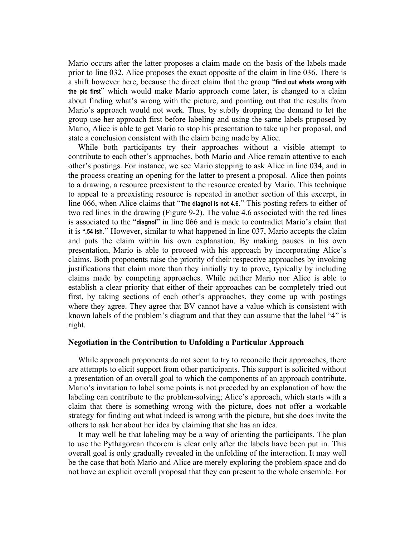Mario occurs after the latter proposes a claim made on the basis of the labels made prior to line 032. Alice proposes the exact opposite of the claim in line 036. There is a shift however here, because the direct claim that the group "**find out whats wrong with the pic first**" which would make Mario approach come later, is changed to a claim about finding what's wrong with the picture, and pointing out that the results from Mario's approach would not work. Thus, by subtly dropping the demand to let the group use her approach first before labeling and using the same labels proposed by Mario, Alice is able to get Mario to stop his presentation to take up her proposal, and state a conclusion consistent with the claim being made by Alice.

While both participants try their approaches without a visible attempt to contribute to each other's approaches, both Mario and Alice remain attentive to each other's postings. For instance, we see Mario stopping to ask Alice in line 034, and in the process creating an opening for the latter to present a proposal. Alice then points to a drawing, a resource preexistent to the resource created by Mario. This technique to appeal to a preexisting resource is repeated in another section of this excerpt, in line 066, when Alice claims that "**The diagnol is not 4.6**." This posting refers to either of two red lines in the drawing (Figure 9-2). The value 4.6 associated with the red lines is associated to the "**diagnol**" in line 066 and is made to contradict Mario's claim that it is **".54 ish**." However, similar to what happened in line 037, Mario accepts the claim and puts the claim within his own explanation. By making pauses in his own presentation, Mario is able to proceed with his approach by incorporating Alice's claims. Both proponents raise the priority of their respective approaches by invoking justifications that claim more than they initially try to prove, typically by including claims made by competing approaches. While neither Mario nor Alice is able to establish a clear priority that either of their approaches can be completely tried out first, by taking sections of each other's approaches, they come up with postings where they agree. They agree that BV cannot have a value which is consistent with known labels of the problem's diagram and that they can assume that the label "4" is right.

#### **Negotiation in the Contribution to Unfolding a Particular Approach**

While approach proponents do not seem to try to reconcile their approaches, there are attempts to elicit support from other participants. This support is solicited without a presentation of an overall goal to which the components of an approach contribute. Mario's invitation to label some points is not preceded by an explanation of how the labeling can contribute to the problem-solving; Alice's approach, which starts with a claim that there is something wrong with the picture, does not offer a workable strategy for finding out what indeed is wrong with the picture, but she does invite the others to ask her about her idea by claiming that she has an idea.

It may well be that labeling may be a way of orienting the participants. The plan to use the Pythagorean theorem is clear only after the labels have been put in. This overall goal is only gradually revealed in the unfolding of the interaction. It may well be the case that both Mario and Alice are merely exploring the problem space and do not have an explicit overall proposal that they can present to the whole ensemble. For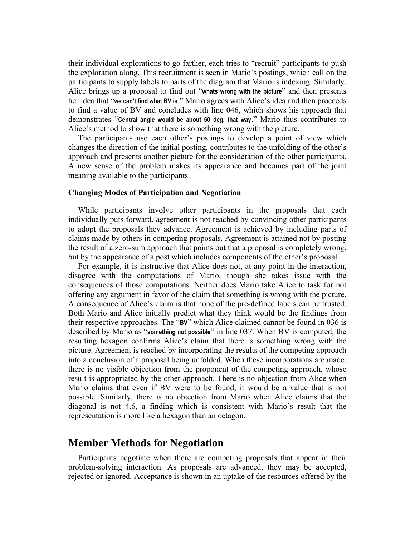their individual explorations to go farther, each tries to "recruit" participants to push the exploration along. This recruitment is seen in Mario's postings, which call on the participants to supply labels to parts of the diagram that Mario is indexing. Similarly, Alice brings up a proposal to find out "**whats wrong with the picture**" and then presents her idea that "**we can't find what BV is**." Mario agrees with Alice's idea and then proceeds to find a value of BV and concludes with line 046, which shows his approach that demonstrates "**Central angle would be about 60 deg, that way**." Mario thus contributes to Alice's method to show that there is something wrong with the picture.

The participants use each other's postings to develop a point of view which changes the direction of the initial posting, contributes to the unfolding of the other's approach and presents another picture for the consideration of the other participants. A new sense of the problem makes its appearance and becomes part of the joint meaning available to the participants.

#### **Changing Modes of Participation and Negotiation**

While participants involve other participants in the proposals that each individually puts forward, agreement is not reached by convincing other participants to adopt the proposals they advance. Agreement is achieved by including parts of claims made by others in competing proposals. Agreement is attained not by posting the result of a zero-sum approach that points out that a proposal is completely wrong, but by the appearance of a post which includes components of the other's proposal.

For example, it is instructive that Alice does not, at any point in the interaction, disagree with the computations of Mario, though she takes issue with the consequences of those computations. Neither does Mario take Alice to task for not offering any argument in favor of the claim that something is wrong with the picture. A consequence of Alice's claim is that none of the pre-defined labels can be trusted. Both Mario and Alice initially predict what they think would be the findings from their respective approaches. The "**BV**" which Alice claimed cannot be found in 036 is described by Mario as "**something not possible**" in line 037. When BV is computed, the resulting hexagon confirms Alice's claim that there is something wrong with the picture. Agreement is reached by incorporating the results of the competing approach into a conclusion of a proposal being unfolded. When these incorporations are made, there is no visible objection from the proponent of the competing approach, whose result is appropriated by the other approach. There is no objection from Alice when Mario claims that even if BV were to be found, it would be a value that is not possible. Similarly, there is no objection from Mario when Alice claims that the diagonal is not 4.6, a finding which is consistent with Mario's result that the representation is more like a hexagon than an octagon.

#### **Member Methods for Negotiation**

Participants negotiate when there are competing proposals that appear in their problem-solving interaction. As proposals are advanced, they may be accepted, rejected or ignored. Acceptance is shown in an uptake of the resources offered by the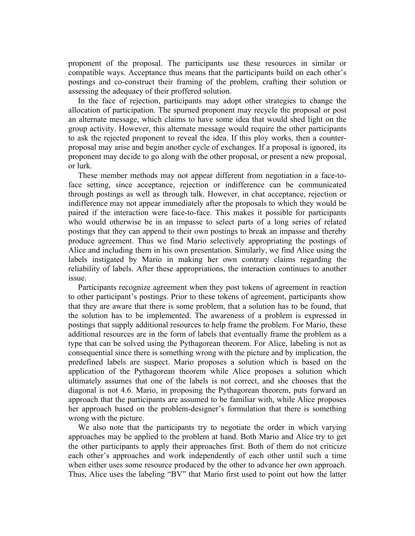proponent of the proposal. The participants use these resources in similar or compatible ways. Acceptance thus means that the participants build on each other's postings and co-construct their framing of the problem, crafting their solution or assessing the adequacy of their proffered solution.

In the face of rejection, participants may adopt other strategies to change the allocation of participation. The spurned proponent may recycle the proposal or post an alternate message, which claims to have some idea that would shed light on the group activity. However, this alternate message would require the other participants to ask the rejected proponent to reveal the idea. If this ploy works, then a counterproposal may arise and begin another cycle of exchanges. If a proposal is ignored, its proponent may decide to go along with the other proposal, or present a new proposal, or lurk.

These member methods may not appear different from negotiation in a face-toface setting, since acceptance, rejection or indifference can be communicated through postings as well as through talk. However, in chat acceptance, rejection or indifference may not appear immediately after the proposals to which they would be paired if the interaction were face-to-face. This makes it possible for participants who would otherwise be in an impasse to select parts of a long series of related postings that they can append to their own postings to break an impasse and thereby produce agreement. Thus we find Mario selectively appropriating the postings of Alice and including them in his own presentation. Similarly, we find Alice using the labels instigated by Mario in making her own contrary claims regarding the reliability of labels. After these appropriations, the interaction continues to another issue.

Participants recognize agreement when they post tokens of agreement in reaction to other participant's postings. Prior to these tokens of agreement, participants show that they are aware that there is some problem, that a solution has to be found, that the solution has to be implemented. The awareness of a problem is expressed in postings that supply additional resources to help frame the problem. For Mario, these additional resources are in the form of labels that eventually frame the problem as a type that can be solved using the Pythagorean theorem. For Alice, labeling is not as consequential since there is something wrong with the picture and by implication, the predefined labels are suspect. Mario proposes a solution which is based on the application of the Pythagorean theorem while Alice proposes a solution which ultimately assumes that one of the labels is not correct, and she chooses that the diagonal is not 4.6. Mario, in proposing the Pythagorean theorem, puts forward an approach that the participants are assumed to be familiar with, while Alice proposes her approach based on the problem-designer's formulation that there is something wrong with the picture.

We also note that the participants try to negotiate the order in which varying approaches may be applied to the problem at hand. Both Mario and Alice try to get the other participants to apply their approaches first. Both of them do not criticize each other's approaches and work independently of each other until such a time when either uses some resource produced by the other to advance her own approach. Thus, Alice uses the labeling "BV" that Mario first used to point out how the latter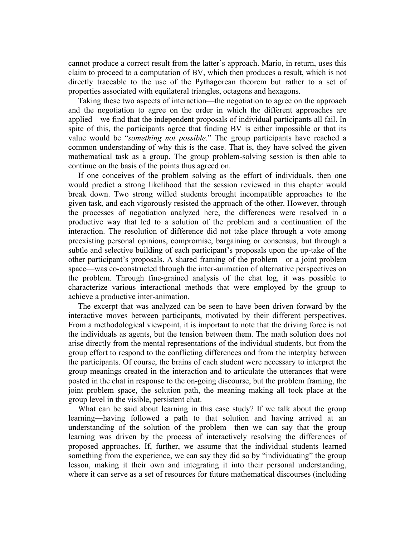cannot produce a correct result from the latter's approach. Mario, in return, uses this claim to proceed to a computation of BV, which then produces a result, which is not directly traceable to the use of the Pythagorean theorem but rather to a set of properties associated with equilateral triangles, octagons and hexagons.

Taking these two aspects of interaction—the negotiation to agree on the approach and the negotiation to agree on the order in which the different approaches are applied—we find that the independent proposals of individual participants all fail. In spite of this, the participants agree that finding BV is either impossible or that its value would be "*something not possible*." The group participants have reached a common understanding of why this is the case. That is, they have solved the given mathematical task as a group. The group problem-solving session is then able to continue on the basis of the points thus agreed on.

If one conceives of the problem solving as the effort of individuals, then one would predict a strong likelihood that the session reviewed in this chapter would break down. Two strong willed students brought incompatible approaches to the given task, and each vigorously resisted the approach of the other. However, through the processes of negotiation analyzed here, the differences were resolved in a productive way that led to a solution of the problem and a continuation of the interaction. The resolution of difference did not take place through a vote among preexisting personal opinions, compromise, bargaining or consensus, but through a subtle and selective building of each participant's proposals upon the up-take of the other participant's proposals. A shared framing of the problem—or a joint problem space—was co-constructed through the inter-animation of alternative perspectives on the problem. Through fine-grained analysis of the chat log, it was possible to characterize various interactional methods that were employed by the group to achieve a productive inter-animation.

The excerpt that was analyzed can be seen to have been driven forward by the interactive moves between participants, motivated by their different perspectives. From a methodological viewpoint, it is important to note that the driving force is not the individuals as agents, but the tension between them. The math solution does not arise directly from the mental representations of the individual students, but from the group effort to respond to the conflicting differences and from the interplay between the participants. Of course, the brains of each student were necessary to interpret the group meanings created in the interaction and to articulate the utterances that were posted in the chat in response to the on-going discourse, but the problem framing, the joint problem space, the solution path, the meaning making all took place at the group level in the visible, persistent chat.

What can be said about learning in this case study? If we talk about the group learning—having followed a path to that solution and having arrived at an understanding of the solution of the problem—then we can say that the group learning was driven by the process of interactively resolving the differences of proposed approaches. If, further, we assume that the individual students learned something from the experience, we can say they did so by "individuating" the group lesson, making it their own and integrating it into their personal understanding, where it can serve as a set of resources for future mathematical discourses (including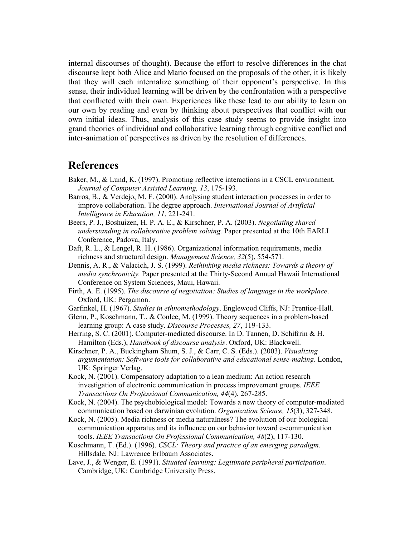internal discourses of thought). Because the effort to resolve differences in the chat discourse kept both Alice and Mario focused on the proposals of the other, it is likely that they will each internalize something of their opponent's perspective. In this sense, their individual learning will be driven by the confrontation with a perspective that conflicted with their own. Experiences like these lead to our ability to learn on our own by reading and even by thinking about perspectives that conflict with our own initial ideas. Thus, analysis of this case study seems to provide insight into grand theories of individual and collaborative learning through cognitive conflict and inter-animation of perspectives as driven by the resolution of differences.

### **References**

- Baker, M., & Lund, K. (1997). Promoting reflective interactions in a CSCL environment. *Journal of Computer Assisted Learning, 13*, 175-193.
- Barros, B., & Verdejo, M. F. (2000). Analysing student interaction processes in order to improve collaboration. The degree approach. *International Journal of Artificial Intelligence in Education, 11*, 221-241.
- Beers, P. J., Boshuizen, H. P. A. E., & Kirschner, P. A. (2003). *Negotiating shared understanding in collaborative problem solving.* Paper presented at the 10th EARLI Conference, Padova, Italy.
- Daft, R. L., & Lengel, R. H. (1986). Organizational information requirements, media richness and structural design. *Management Science, 32*(5), 554-571.
- Dennis, A. R., & Valacich, J. S. (1999). *Rethinking media richness: Towards a theory of media synchronicity.* Paper presented at the Thirty-Second Annual Hawaii International Conference on System Sciences, Maui, Hawaii.
- Firth, A. E. (1995). *The discourse of negotiation: Studies of language in the workplace*. Oxford, UK: Pergamon.
- Garfinkel, H. (1967). *Studies in ethnomethodology*. Englewood Cliffs, NJ: Prentice-Hall.
- Glenn, P., Koschmann, T., & Conlee, M. (1999). Theory sequences in a problem-based learning group: A case study. *Discourse Processes, 27*, 119-133.
- Herring, S. C. (2001). Computer-mediated discourse. In D. Tannen, D. Schifrrin & H. Hamilton (Eds.), *Handbook of discourse analysis*. Oxford, UK: Blackwell.
- Kirschner, P. A., Buckingham Shum, S. J., & Carr, C. S. (Eds.). (2003). *Visualizing argumentation: Software tools for collaborative and educational sense-making*. London, UK: Springer Verlag.
- Kock, N. (2001). Compensatory adaptation to a lean medium: An action research investigation of electronic communication in process improvement groups. *IEEE Transactions On Professional Communication, 44*(4), 267-285.
- Kock, N. (2004). The psychobiological model: Towards a new theory of computer-mediated communication based on darwinian evolution. *Organization Science, 15*(3), 327-348.
- Kock, N. (2005). Media richness or media naturalness? The evolution of our biological communication apparatus and its influence on our behavior toward e-communication tools. *IEEE Transactions On Professional Communication, 48*(2), 117-130.
- Koschmann, T. (Ed.). (1996). *CSCL: Theory and practice of an emerging paradigm*. Hillsdale, NJ: Lawrence Erlbaum Associates.
- Lave, J., & Wenger, E. (1991). *Situated learning: Legitimate peripheral participation*. Cambridge, UK: Cambridge University Press.